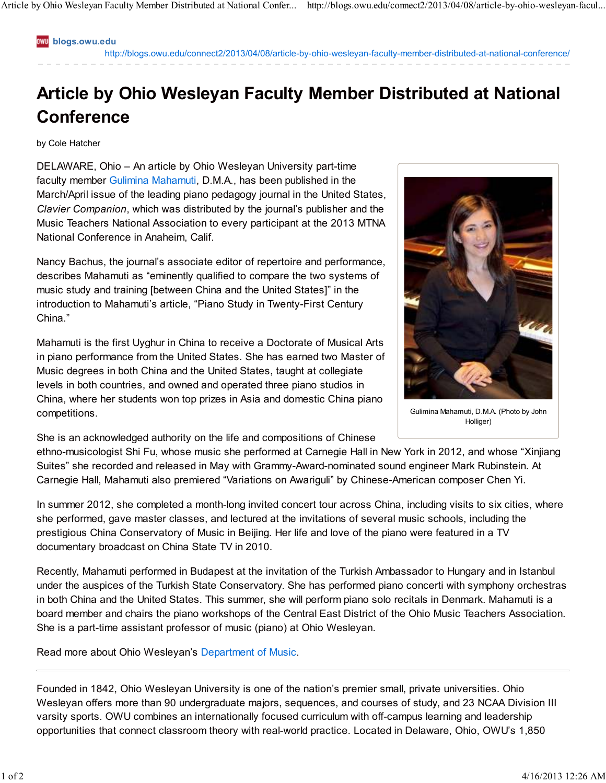**blogs.owu.edu**

http://blogs.owu.edu/connect2/2013/04/08/article-by-ohio-wesleyan-faculty-member-distributed-at-national-conference/

## **Article by Ohio Wesleyan Faculty Member Distributed at National Conference**

by Cole Hatcher

DELAWARE, Ohio – An article by Ohio Wesleyan University part-time faculty member Gulimina Mahamuti, D.M.A., has been published in the March/April issue of the leading piano pedagogy journal in the United States, *Clavier Companion*, which was distributed by the journal's publisher and the Music Teachers National Association to every participant at the 2013 MTNA National Conference in Anaheim, Calif.

Nancy Bachus, the journal's associate editor of repertoire and performance, describes Mahamuti as "eminently qualified to compare the two systems of music study and training [between China and the United States]" in the introduction to Mahamuti's article, "Piano Study in Twenty-First Century China."

Mahamuti is the first Uyghur in China to receive a Doctorate of Musical Arts in piano performance from the United States. She has earned two Master of Music degrees in both China and the United States, taught at collegiate levels in both countries, and owned and operated three piano studios in China, where her students won top prizes in Asia and domestic China piano competitions.

She is an acknowledged authority on the life and compositions of Chinese



Gulimina Mahamuti, D.M.A. (Photo by John Holliger)

ethno-musicologist Shi Fu, whose music she performed at Carnegie Hall in New York in 2012, and whose "Xinjiang Suites" she recorded and released in May with Grammy-Award-nominated sound engineer Mark Rubinstein. At Carnegie Hall, Mahamuti also premiered "Variations on Awariguli" by Chinese-American composer Chen Yi.

In summer 2012, she completed a month-long invited concert tour across China, including visits to six cities, where she performed, gave master classes, and lectured at the invitations of several music schools, including the prestigious China Conservatory of Music in Beijing. Her life and love of the piano were featured in a TV documentary broadcast on China State TV in 2010.

Recently, Mahamuti performed in Budapest at the invitation of the Turkish Ambassador to Hungary and in Istanbul under the auspices of the Turkish State Conservatory. She has performed piano concerti with symphony orchestras in both China and the United States. This summer, she will perform piano solo recitals in Denmark. Mahamuti is a board member and chairs the piano workshops of the Central East District of the Ohio Music Teachers Association. She is a part-time assistant professor of music (piano) at Ohio Wesleyan.

Read more about Ohio Wesleyan's Department of Music.

Founded in 1842, Ohio Wesleyan University is one of the nation's premier small, private universities. Ohio Wesleyan offers more than 90 undergraduate majors, sequences, and courses of study, and 23 NCAA Division III varsity sports. OWU combines an internationally focused curriculum with off-campus learning and leadership opportunities that connect classroom theory with real-world practice. Located in Delaware, Ohio, OWU's 1,850